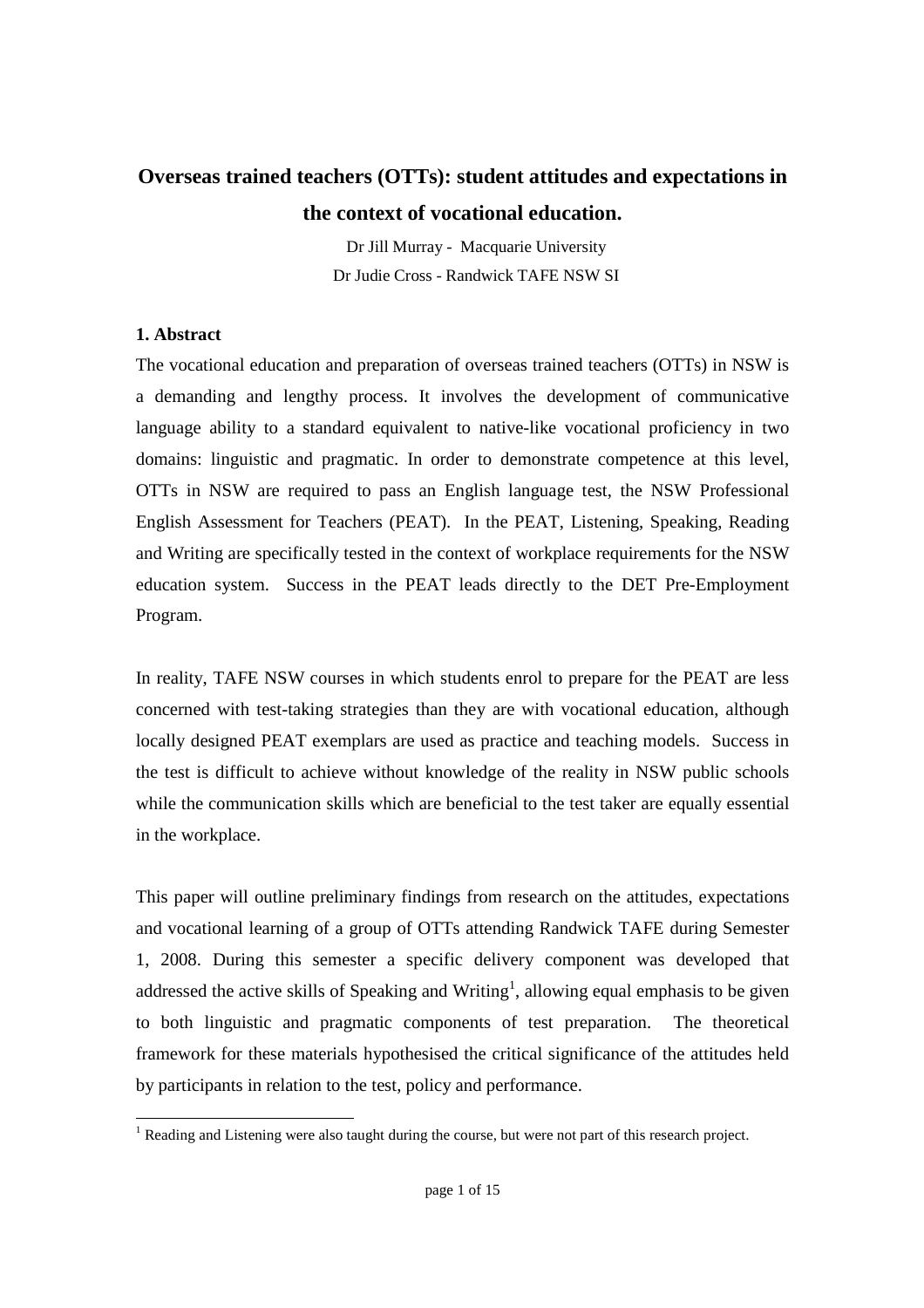# **Overseas trained teachers (OTTs): student attitudes and expectations in the context of vocational education.**

Dr Jill Murray - Macquarie University Dr Judie Cross - Randwick TAFE NSW SI

### **1. Abstract**

The vocational education and preparation of overseas trained teachers (OTTs) in NSW is a demanding and lengthy process. It involves the development of communicative language ability to a standard equivalent to native-like vocational proficiency in two domains: linguistic and pragmatic. In order to demonstrate competence at this level, OTTs in NSW are required to pass an English language test, the NSW Professional English Assessment for Teachers (PEAT). In the PEAT, Listening, Speaking, Reading and Writing are specifically tested in the context of workplace requirements for the NSW education system. Success in the PEAT leads directly to the DET Pre-Employment Program.

In reality, TAFE NSW courses in which students enrol to prepare for the PEAT are less concerned with test-taking strategies than they are with vocational education, although locally designed PEAT exemplars are used as practice and teaching models. Success in the test is difficult to achieve without knowledge of the reality in NSW public schools while the communication skills which are beneficial to the test taker are equally essential in the workplace.

This paper will outline preliminary findings from research on the attitudes, expectations and vocational learning of a group of OTTs attending Randwick TAFE during Semester 1, 2008. During this semester a specific delivery component was developed that addressed the active skills of Speaking and Writing<sup>1</sup>, allowing equal emphasis to be given to both linguistic and pragmatic components of test preparation. The theoretical framework for these materials hypothesised the critical significance of the attitudes held by participants in relation to the test, policy and performance.

<sup>&</sup>lt;sup>1</sup> Reading and Listening were also taught during the course, but were not part of this research project.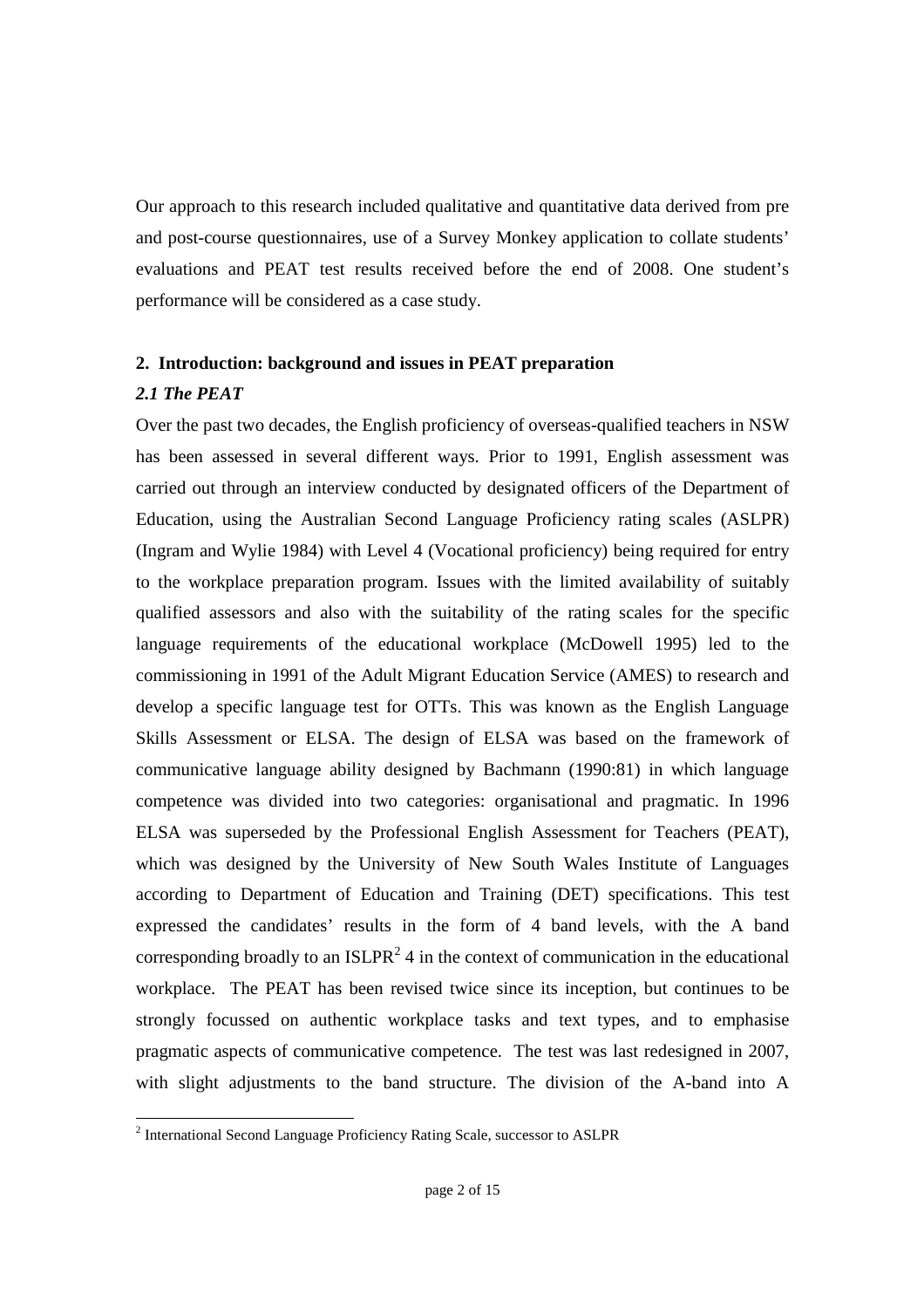Our approach to this research included qualitative and quantitative data derived from pre and post-course questionnaires, use of a Survey Monkey application to collate students' evaluations and PEAT test results received before the end of 2008. One student's performance will be considered as a case study.

#### **2. Introduction: background and issues in PEAT preparation**

#### *2.1 The PEAT*

Over the past two decades, the English proficiency of overseas-qualified teachers in NSW has been assessed in several different ways. Prior to 1991, English assessment was carried out through an interview conducted by designated officers of the Department of Education, using the Australian Second Language Proficiency rating scales (ASLPR) (Ingram and Wylie 1984) with Level 4 (Vocational proficiency) being required for entry to the workplace preparation program. Issues with the limited availability of suitably qualified assessors and also with the suitability of the rating scales for the specific language requirements of the educational workplace (McDowell 1995) led to the commissioning in 1991 of the Adult Migrant Education Service (AMES) to research and develop a specific language test for OTTs. This was known as the English Language Skills Assessment or ELSA. The design of ELSA was based on the framework of communicative language ability designed by Bachmann (1990:81) in which language competence was divided into two categories: organisational and pragmatic. In 1996 ELSA was superseded by the Professional English Assessment for Teachers (PEAT), which was designed by the University of New South Wales Institute of Languages according to Department of Education and Training (DET) specifications. This test expressed the candidates' results in the form of 4 band levels, with the A band corresponding broadly to an ISLPR<sup>2</sup> 4 in the context of communication in the educational workplace. The PEAT has been revised twice since its inception, but continues to be strongly focussed on authentic workplace tasks and text types, and to emphasise pragmatic aspects of communicative competence. The test was last redesigned in 2007, with slight adjustments to the band structure. The division of the A-band into A

<sup>&</sup>lt;sup>2</sup> International Second Language Proficiency Rating Scale, successor to ASLPR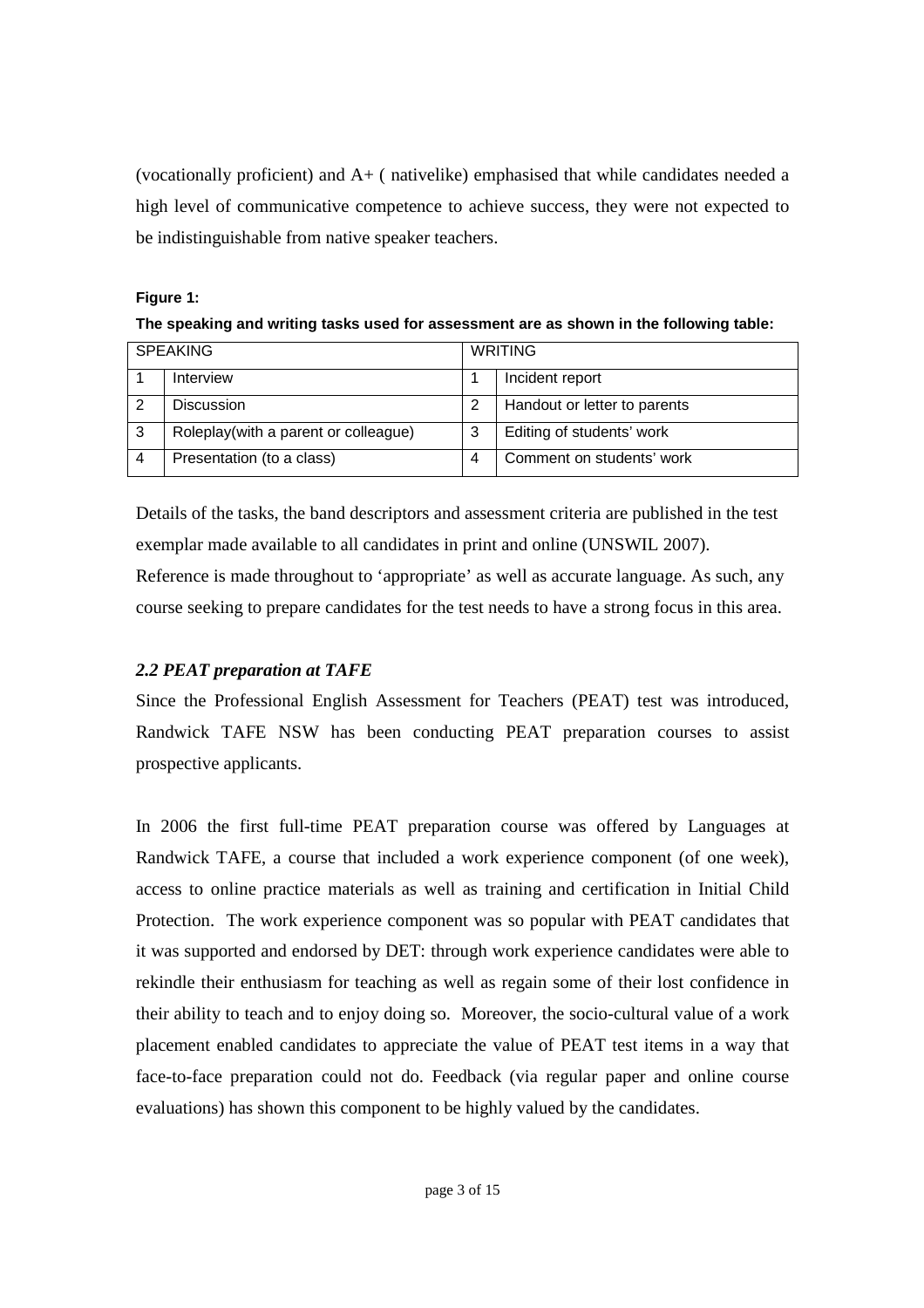(vocationally proficient) and A+ ( nativelike) emphasised that while candidates needed a high level of communicative competence to achieve success, they were not expected to be indistinguishable from native speaker teachers.

#### **Figure 1:**

**The speaking and writing tasks used for assessment are as shown in the following table:**

| <b>SPEAKING</b> |                                      | <b>WRITING</b> |                              |
|-----------------|--------------------------------------|----------------|------------------------------|
|                 | Interview                            |                | Incident report              |
|                 | <b>Discussion</b>                    |                | Handout or letter to parents |
| 3               | Roleplay(with a parent or colleague) | 3              | Editing of students' work    |
|                 | Presentation (to a class)            | 4              | Comment on students' work    |

Details of the tasks, the band descriptors and assessment criteria are published in the test exemplar made available to all candidates in print and online (UNSWIL 2007).

Reference is made throughout to 'appropriate' as well as accurate language. As such, any course seeking to prepare candidates for the test needs to have a strong focus in this area.

# *2.2 PEAT preparation at TAFE*

Since the Professional English Assessment for Teachers (PEAT) test was introduced, Randwick TAFE NSW has been conducting PEAT preparation courses to assist prospective applicants.

In 2006 the first full-time PEAT preparation course was offered by Languages at Randwick TAFE, a course that included a work experience component (of one week), access to online practice materials as well as training and certification in Initial Child Protection. The work experience component was so popular with PEAT candidates that it was supported and endorsed by DET: through work experience candidates were able to rekindle their enthusiasm for teaching as well as regain some of their lost confidence in their ability to teach and to enjoy doing so. Moreover, the socio-cultural value of a work placement enabled candidates to appreciate the value of PEAT test items in a way that face-to-face preparation could not do. Feedback (via regular paper and online course evaluations) has shown this component to be highly valued by the candidates.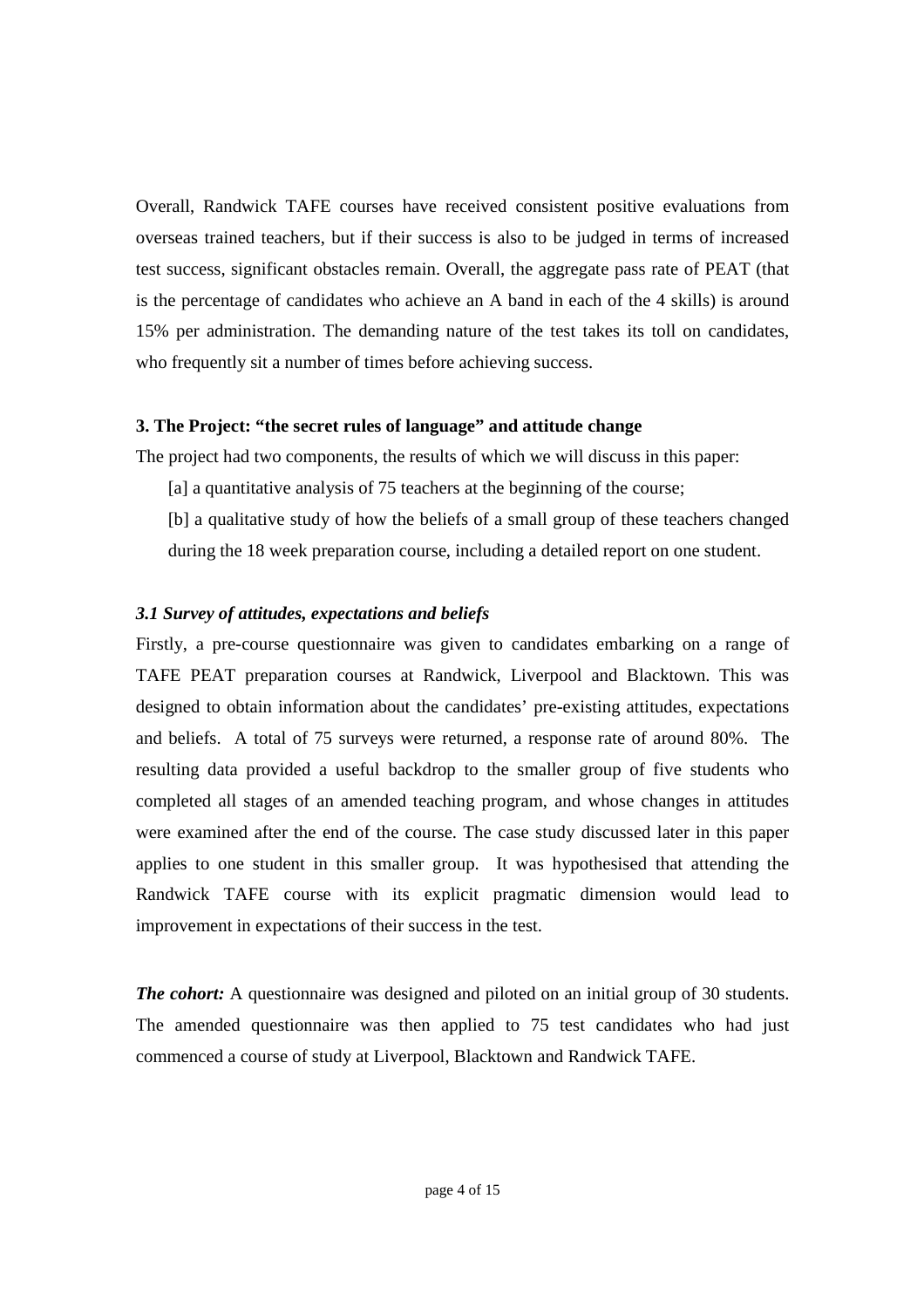Overall, Randwick TAFE courses have received consistent positive evaluations from overseas trained teachers, but if their success is also to be judged in terms of increased test success, significant obstacles remain. Overall, the aggregate pass rate of PEAT (that is the percentage of candidates who achieve an A band in each of the 4 skills) is around 15% per administration. The demanding nature of the test takes its toll on candidates, who frequently sit a number of times before achieving success.

#### **3. The Project: "the secret rules of language" and attitude change**

The project had two components, the results of which we will discuss in this paper:

- [a] a quantitative analysis of 75 teachers at the beginning of the course;
- [b] a qualitative study of how the beliefs of a small group of these teachers changed during the 18 week preparation course, including a detailed report on one student.

#### *3.1 Survey of attitudes, expectations and beliefs*

Firstly, a pre-course questionnaire was given to candidates embarking on a range of TAFE PEAT preparation courses at Randwick, Liverpool and Blacktown. This was designed to obtain information about the candidates' pre-existing attitudes, expectations and beliefs. A total of 75 surveys were returned, a response rate of around 80%. The resulting data provided a useful backdrop to the smaller group of five students who completed all stages of an amended teaching program, and whose changes in attitudes were examined after the end of the course. The case study discussed later in this paper applies to one student in this smaller group. It was hypothesised that attending the Randwick TAFE course with its explicit pragmatic dimension would lead to improvement in expectations of their success in the test.

*The cohort:* A questionnaire was designed and piloted on an initial group of 30 students. The amended questionnaire was then applied to 75 test candidates who had just commenced a course of study at Liverpool, Blacktown and Randwick TAFE.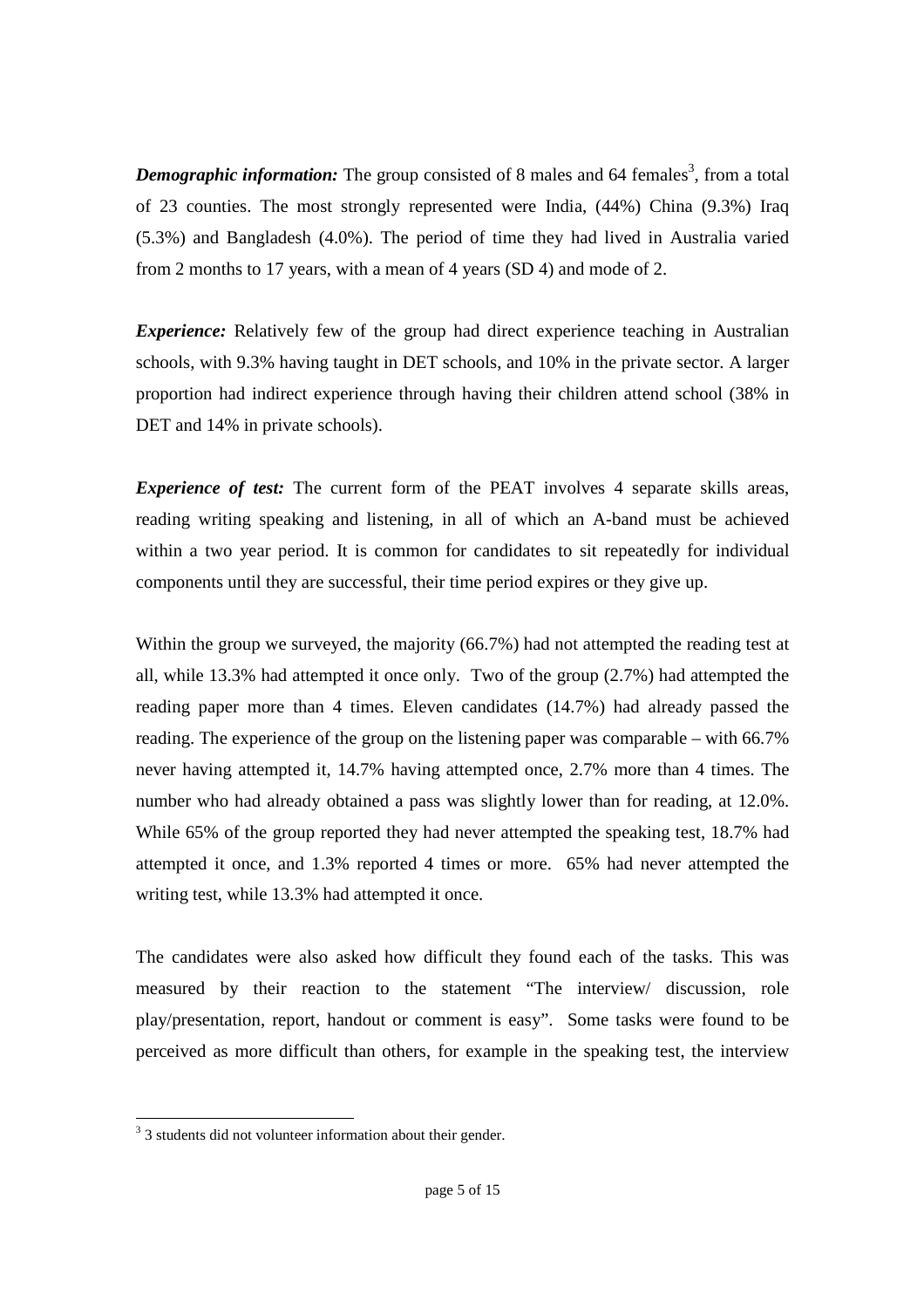**Demographic information:** The group consisted of 8 males and 64 females<sup>3</sup>, from a total of 23 counties. The most strongly represented were India, (44%) China (9.3%) Iraq (5.3%) and Bangladesh (4.0%). The period of time they had lived in Australia varied from 2 months to 17 years, with a mean of 4 years (SD 4) and mode of 2.

*Experience:* Relatively few of the group had direct experience teaching in Australian schools, with 9.3% having taught in DET schools, and 10% in the private sector. A larger proportion had indirect experience through having their children attend school (38% in DET and 14% in private schools).

*Experience of test:* The current form of the PEAT involves 4 separate skills areas, reading writing speaking and listening, in all of which an A-band must be achieved within a two year period. It is common for candidates to sit repeatedly for individual components until they are successful, their time period expires or they give up.

Within the group we surveyed, the majority (66.7%) had not attempted the reading test at all, while 13.3% had attempted it once only. Two of the group (2.7%) had attempted the reading paper more than 4 times. Eleven candidates (14.7%) had already passed the reading. The experience of the group on the listening paper was comparable – with 66.7% never having attempted it, 14.7% having attempted once, 2.7% more than 4 times. The number who had already obtained a pass was slightly lower than for reading, at 12.0%. While 65% of the group reported they had never attempted the speaking test, 18.7% had attempted it once, and 1.3% reported 4 times or more. 65% had never attempted the writing test, while 13.3% had attempted it once.

The candidates were also asked how difficult they found each of the tasks. This was measured by their reaction to the statement "The interview/ discussion, role play/presentation, report, handout or comment is easy". Some tasks were found to be perceived as more difficult than others, for example in the speaking test, the interview

<sup>&</sup>lt;sup>3</sup> 3 students did not volunteer information about their gender.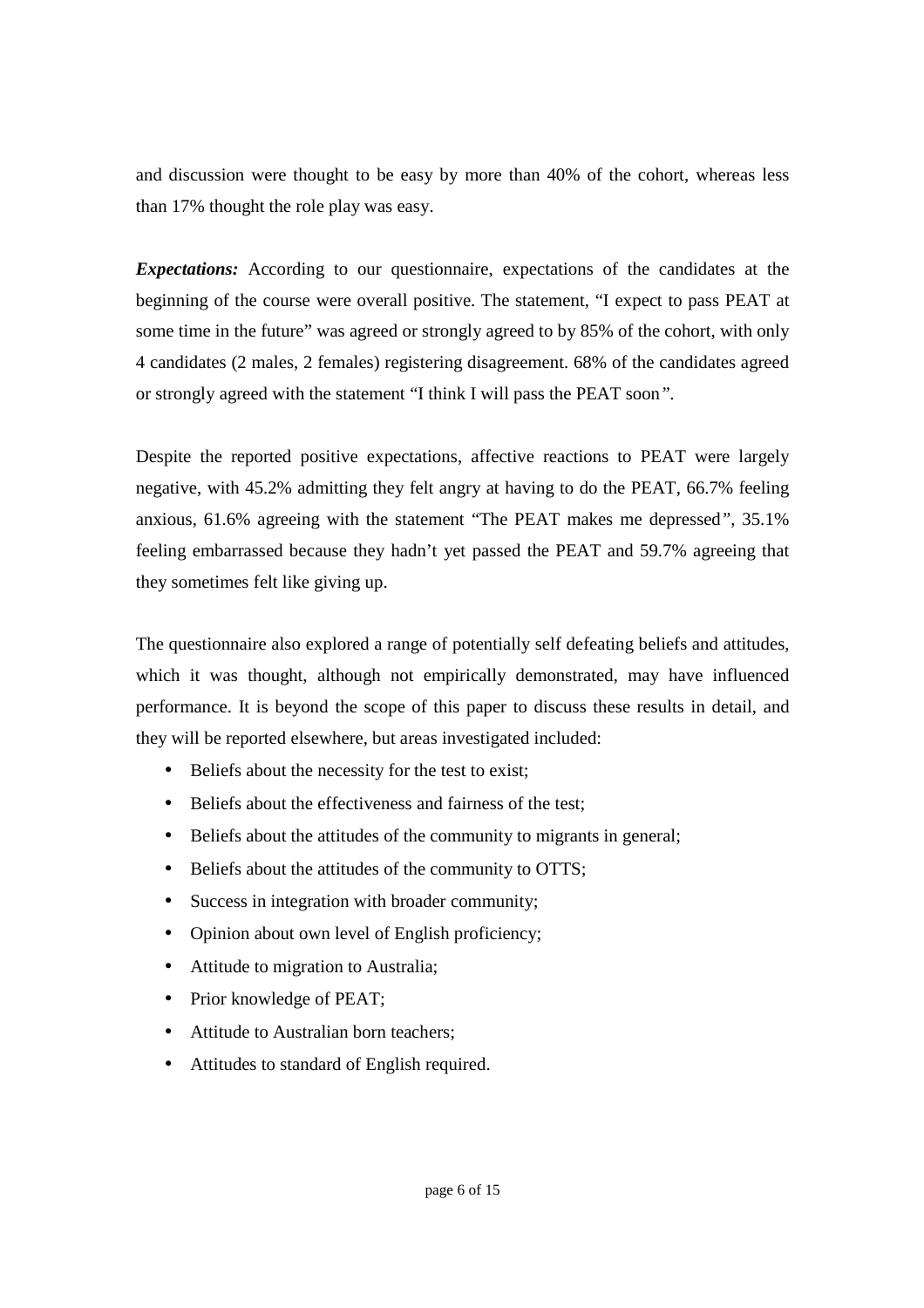and discussion were thought to be easy by more than 40% of the cohort, whereas less than 17% thought the role play was easy.

*Expectations:* According to our questionnaire, expectations of the candidates at the beginning of the course were overall positive. The statement, "I expect to pass PEAT at some time in the future" was agreed or strongly agreed to by 85% of the cohort, with only 4 candidates (2 males, 2 females) registering disagreement. 68% of the candidates agreed or strongly agreed with the statement "I think I will pass the PEAT soon*".*

Despite the reported positive expectations, affective reactions to PEAT were largely negative, with 45.2% admitting they felt angry at having to do the PEAT, 66.7% feeling anxious, 61.6% agreeing with the statement "The PEAT makes me depressed*"*, 35.1% feeling embarrassed because they hadn't yet passed the PEAT and 59.7% agreeing that they sometimes felt like giving up.

The questionnaire also explored a range of potentially self defeating beliefs and attitudes, which it was thought, although not empirically demonstrated, may have influenced performance. It is beyond the scope of this paper to discuss these results in detail, and they will be reported elsewhere, but areas investigated included:

- Beliefs about the necessity for the test to exist;
- Beliefs about the effectiveness and fairness of the test:
- Beliefs about the attitudes of the community to migrants in general;
- Beliefs about the attitudes of the community to OTTS;
- Success in integration with broader community;
- Opinion about own level of English proficiency;
- Attitude to migration to Australia;
- Prior knowledge of PEAT;
- Attitude to Australian born teachers;
- Attitudes to standard of English required.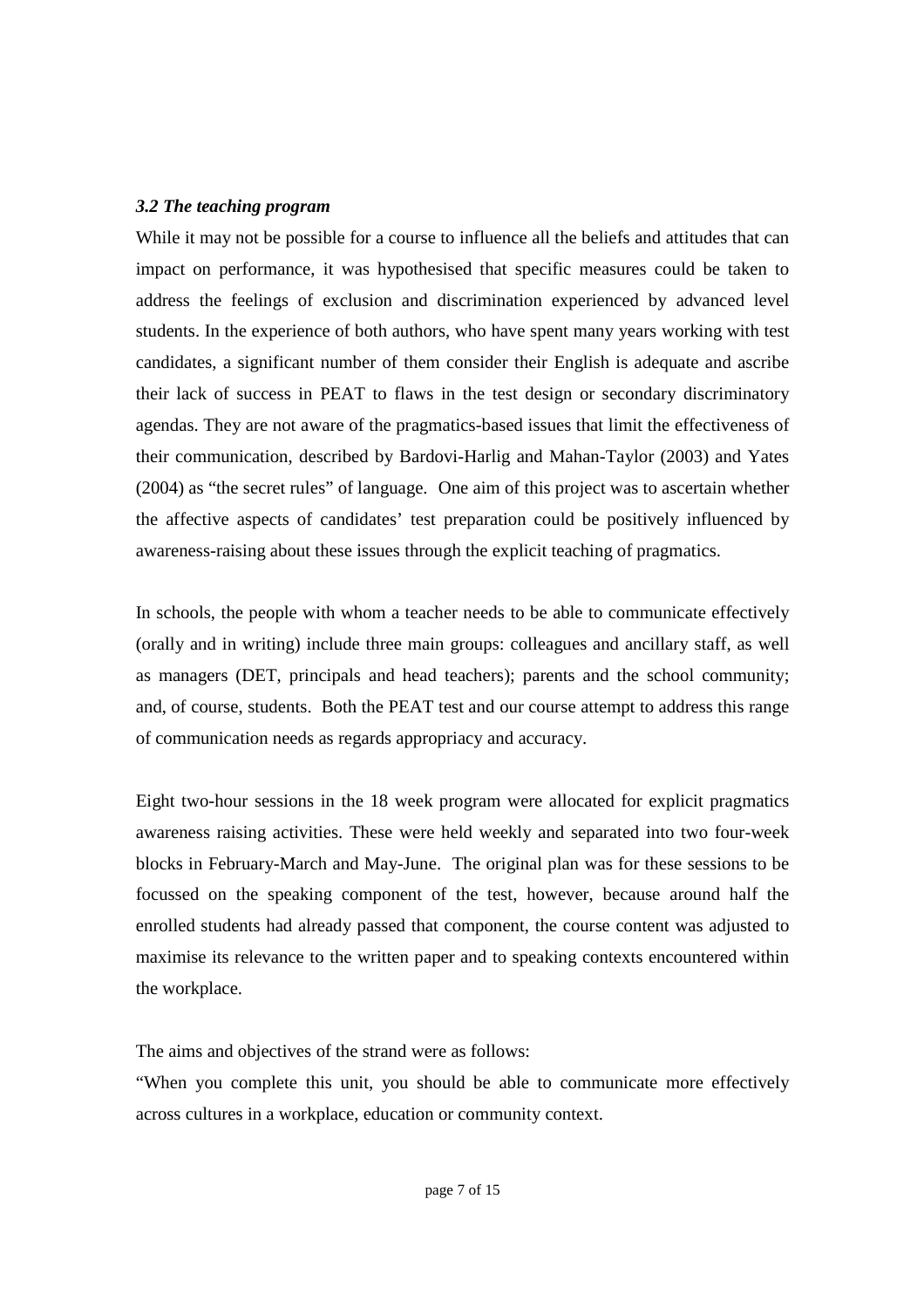#### *3.2 The teaching program*

While it may not be possible for a course to influence all the beliefs and attitudes that can impact on performance, it was hypothesised that specific measures could be taken to address the feelings of exclusion and discrimination experienced by advanced level students. In the experience of both authors, who have spent many years working with test candidates, a significant number of them consider their English is adequate and ascribe their lack of success in PEAT to flaws in the test design or secondary discriminatory agendas. They are not aware of the pragmatics-based issues that limit the effectiveness of their communication, described by Bardovi-Harlig and Mahan-Taylor (2003) and Yates (2004) as "the secret rules" of language. One aim of this project was to ascertain whether the affective aspects of candidates' test preparation could be positively influenced by awareness-raising about these issues through the explicit teaching of pragmatics.

In schools, the people with whom a teacher needs to be able to communicate effectively (orally and in writing) include three main groups: colleagues and ancillary staff, as well as managers (DET, principals and head teachers); parents and the school community; and, of course, students. Both the PEAT test and our course attempt to address this range of communication needs as regards appropriacy and accuracy.

Eight two-hour sessions in the 18 week program were allocated for explicit pragmatics awareness raising activities. These were held weekly and separated into two four-week blocks in February-March and May-June. The original plan was for these sessions to be focussed on the speaking component of the test, however, because around half the enrolled students had already passed that component, the course content was adjusted to maximise its relevance to the written paper and to speaking contexts encountered within the workplace.

The aims and objectives of the strand were as follows:

"When you complete this unit, you should be able to communicate more effectively across cultures in a workplace, education or community context.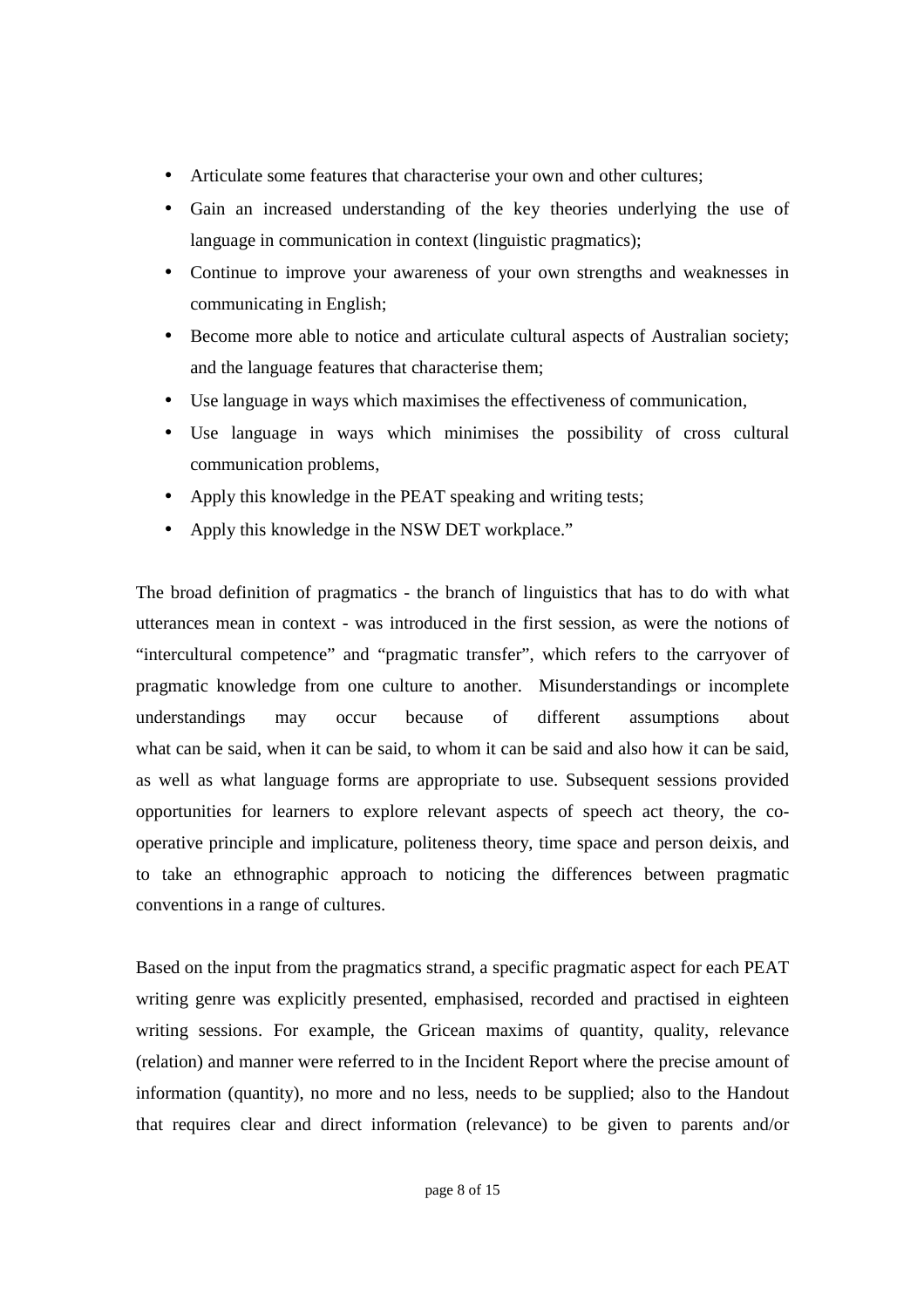- Articulate some features that characterise your own and other cultures;
- Gain an increased understanding of the key theories underlying the use of language in communication in context (linguistic pragmatics);
- Continue to improve your awareness of your own strengths and weaknesses in communicating in English;
- Become more able to notice and articulate cultural aspects of Australian society; and the language features that characterise them;
- Use language in ways which maximises the effectiveness of communication,
- Use language in ways which minimises the possibility of cross cultural communication problems,
- Apply this knowledge in the PEAT speaking and writing tests;
- Apply this knowledge in the NSW DET workplace."

The broad definition of pragmatics - the branch of linguistics that has to do with what utterances mean in context - was introduced in the first session, as were the notions of "intercultural competence" and "pragmatic transfer", which refers to the carryover of pragmatic knowledge from one culture to another. Misunderstandings or incomplete understandings may occur because of different assumptions about what can be said, when it can be said, to whom it can be said and also how it can be said, as well as what language forms are appropriate to use. Subsequent sessions provided opportunities for learners to explore relevant aspects of speech act theory, the cooperative principle and implicature, politeness theory, time space and person deixis, and to take an ethnographic approach to noticing the differences between pragmatic conventions in a range of cultures.

Based on the input from the pragmatics strand, a specific pragmatic aspect for each PEAT writing genre was explicitly presented, emphasised, recorded and practised in eighteen writing sessions. For example, the Gricean maxims of quantity, quality, relevance (relation) and manner were referred to in the Incident Report where the precise amount of information (quantity), no more and no less, needs to be supplied; also to the Handout that requires clear and direct information (relevance) to be given to parents and/or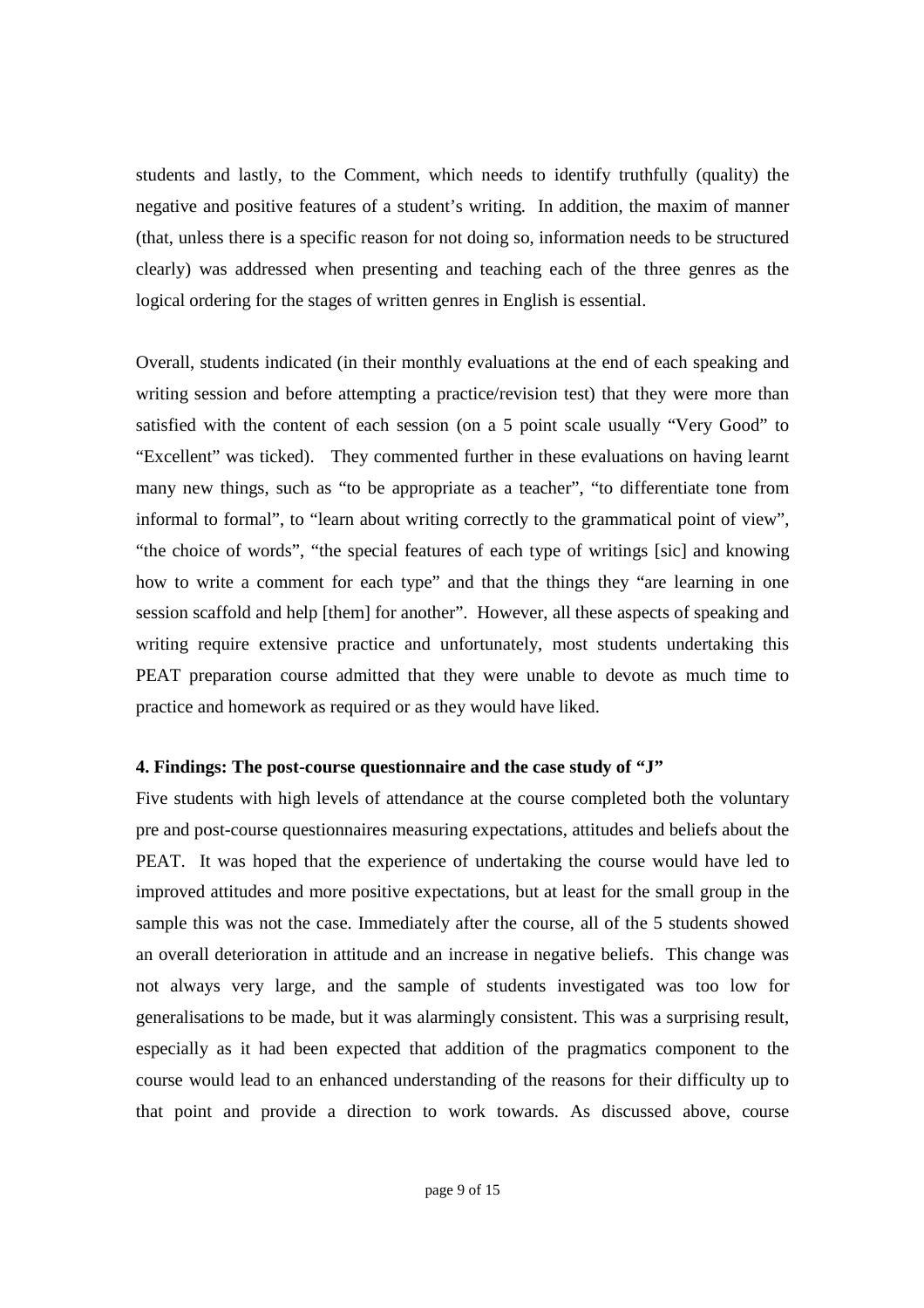students and lastly, to the Comment, which needs to identify truthfully (quality) the negative and positive features of a student's writing. In addition, the maxim of manner (that, unless there is a specific reason for not doing so, information needs to be structured clearly) was addressed when presenting and teaching each of the three genres as the logical ordering for the stages of written genres in English is essential.

Overall, students indicated (in their monthly evaluations at the end of each speaking and writing session and before attempting a practice/revision test) that they were more than satisfied with the content of each session (on a 5 point scale usually "Very Good" to "Excellent" was ticked). They commented further in these evaluations on having learnt many new things, such as "to be appropriate as a teacher", "to differentiate tone from informal to formal", to "learn about writing correctly to the grammatical point of view", "the choice of words", "the special features of each type of writings [sic] and knowing how to write a comment for each type" and that the things they "are learning in one session scaffold and help [them] for another". However, all these aspects of speaking and writing require extensive practice and unfortunately, most students undertaking this PEAT preparation course admitted that they were unable to devote as much time to practice and homework as required or as they would have liked.

#### **4. Findings: The post-course questionnaire and the case study of "J"**

Five students with high levels of attendance at the course completed both the voluntary pre and post-course questionnaires measuring expectations, attitudes and beliefs about the PEAT. It was hoped that the experience of undertaking the course would have led to improved attitudes and more positive expectations, but at least for the small group in the sample this was not the case. Immediately after the course, all of the 5 students showed an overall deterioration in attitude and an increase in negative beliefs. This change was not always very large, and the sample of students investigated was too low for generalisations to be made, but it was alarmingly consistent. This was a surprising result, especially as it had been expected that addition of the pragmatics component to the course would lead to an enhanced understanding of the reasons for their difficulty up to that point and provide a direction to work towards. As discussed above, course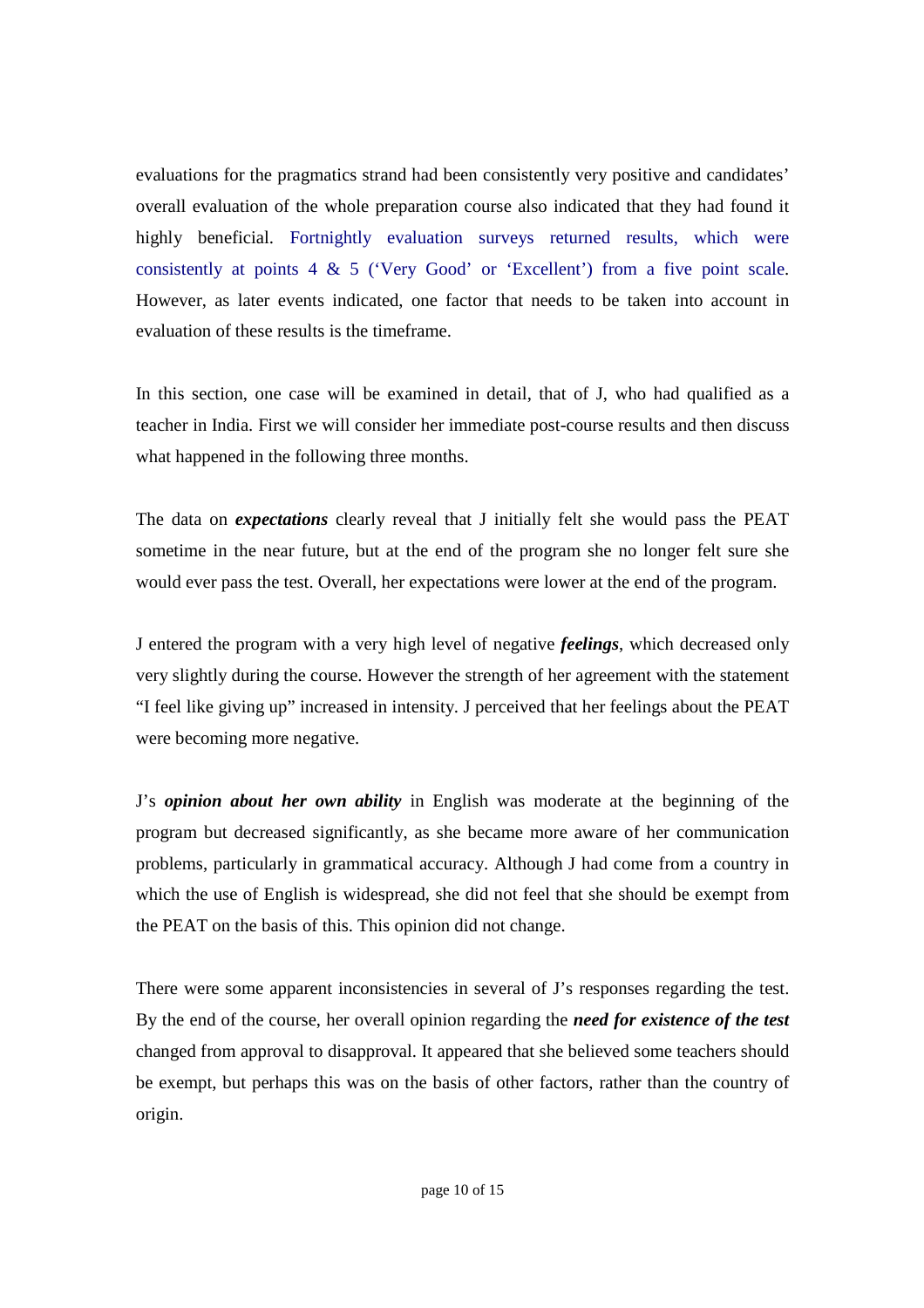evaluations for the pragmatics strand had been consistently very positive and candidates' overall evaluation of the whole preparation course also indicated that they had found it highly beneficial. Fortnightly evaluation surveys returned results, which were consistently at points 4 & 5 ('Very Good' or 'Excellent') from a five point scale. However, as later events indicated, one factor that needs to be taken into account in evaluation of these results is the timeframe.

In this section, one case will be examined in detail, that of J, who had qualified as a teacher in India. First we will consider her immediate post-course results and then discuss what happened in the following three months.

The data on *expectations* clearly reveal that J initially felt she would pass the PEAT sometime in the near future, but at the end of the program she no longer felt sure she would ever pass the test. Overall, her expectations were lower at the end of the program.

J entered the program with a very high level of negative *feelings*, which decreased only very slightly during the course. However the strength of her agreement with the statement "I feel like giving up" increased in intensity. J perceived that her feelings about the PEAT were becoming more negative.

J's *opinion about her own ability* in English was moderate at the beginning of the program but decreased significantly, as she became more aware of her communication problems, particularly in grammatical accuracy. Although J had come from a country in which the use of English is widespread, she did not feel that she should be exempt from the PEAT on the basis of this. This opinion did not change.

There were some apparent inconsistencies in several of J's responses regarding the test. By the end of the course, her overall opinion regarding the *need for existence of the test* changed from approval to disapproval. It appeared that she believed some teachers should be exempt, but perhaps this was on the basis of other factors, rather than the country of origin.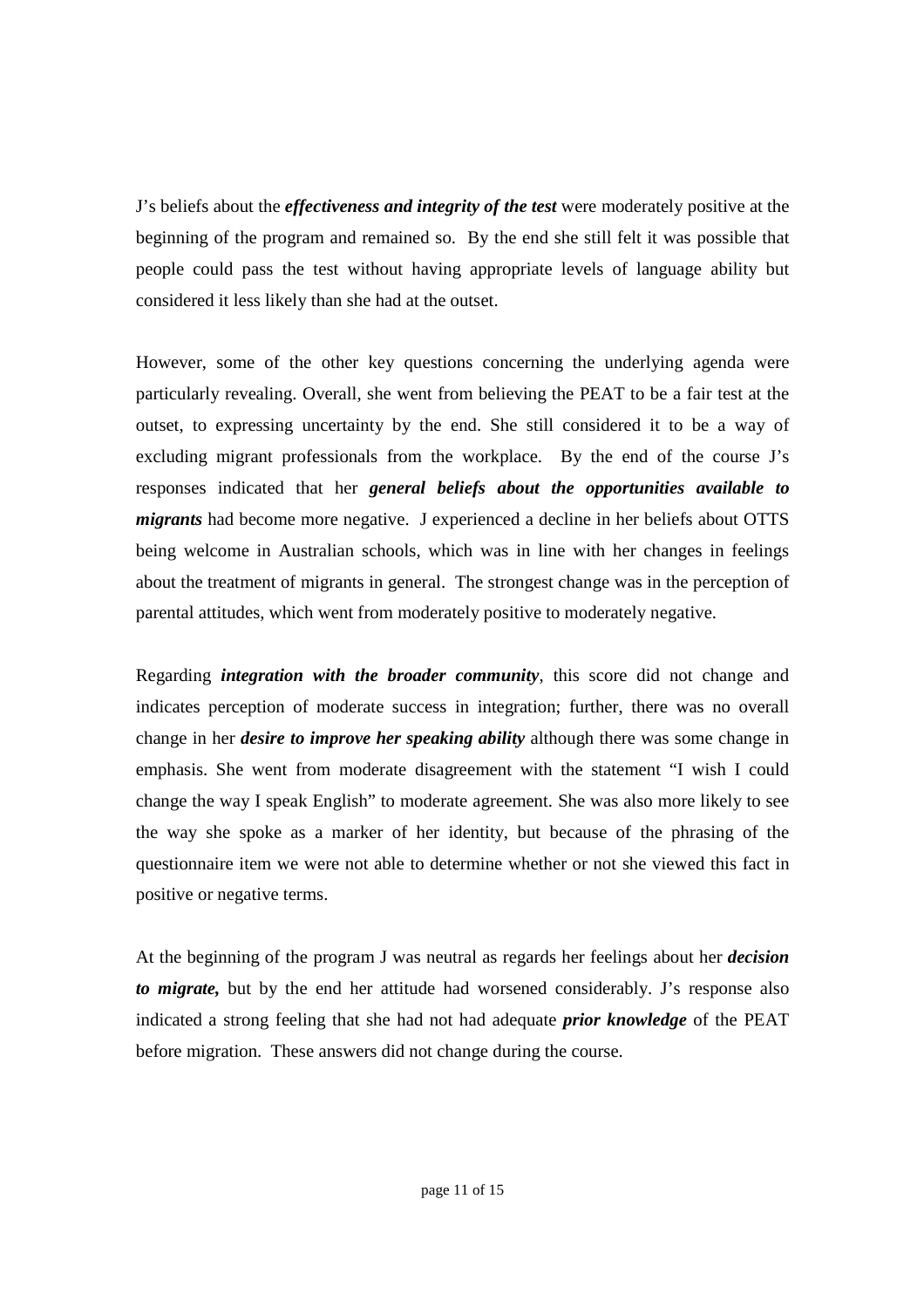J's beliefs about the *effectiveness and integrity of the test* were moderately positive at the beginning of the program and remained so. By the end she still felt it was possible that people could pass the test without having appropriate levels of language ability but considered it less likely than she had at the outset.

However, some of the other key questions concerning the underlying agenda were particularly revealing. Overall, she went from believing the PEAT to be a fair test at the outset, to expressing uncertainty by the end. She still considered it to be a way of excluding migrant professionals from the workplace. By the end of the course J's responses indicated that her *general beliefs about the opportunities available to migrants* had become more negative. J experienced a decline in her beliefs about OTTS being welcome in Australian schools, which was in line with her changes in feelings about the treatment of migrants in general. The strongest change was in the perception of parental attitudes, which went from moderately positive to moderately negative.

Regarding *integration with the broader community*, this score did not change and indicates perception of moderate success in integration; further, there was no overall change in her *desire to improve her speaking ability* although there was some change in emphasis. She went from moderate disagreement with the statement "I wish I could change the way I speak English" to moderate agreement. She was also more likely to see the way she spoke as a marker of her identity, but because of the phrasing of the questionnaire item we were not able to determine whether or not she viewed this fact in positive or negative terms.

At the beginning of the program J was neutral as regards her feelings about her *decision to migrate,* but by the end her attitude had worsened considerably. J's response also indicated a strong feeling that she had not had adequate *prior knowledge* of the PEAT before migration. These answers did not change during the course.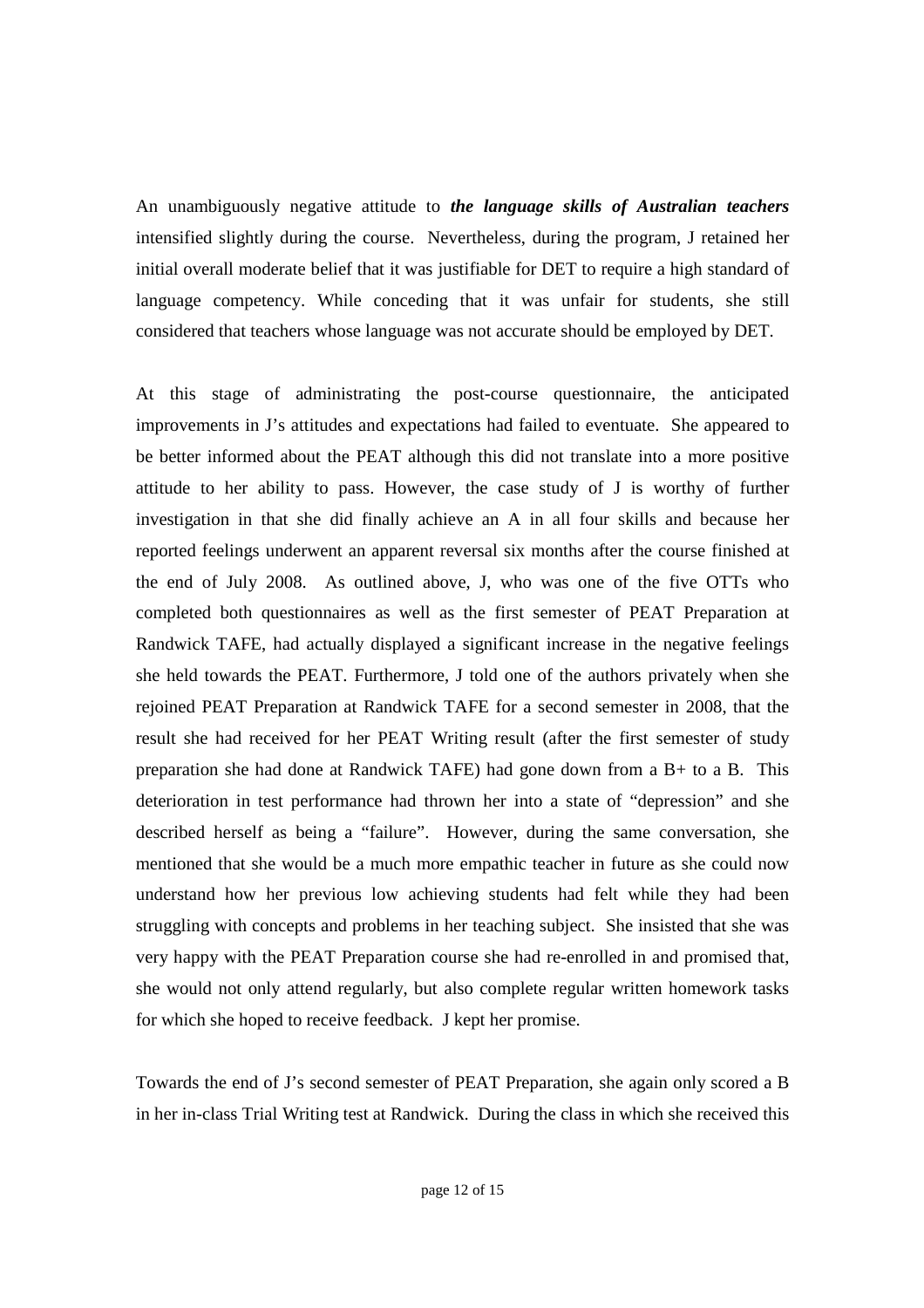An unambiguously negative attitude to *the language skills of Australian teachers* intensified slightly during the course. Nevertheless, during the program, J retained her initial overall moderate belief that it was justifiable for DET to require a high standard of language competency. While conceding that it was unfair for students, she still considered that teachers whose language was not accurate should be employed by DET.

At this stage of administrating the post-course questionnaire, the anticipated improvements in J's attitudes and expectations had failed to eventuate. She appeared to be better informed about the PEAT although this did not translate into a more positive attitude to her ability to pass. However, the case study of J is worthy of further investigation in that she did finally achieve an A in all four skills and because her reported feelings underwent an apparent reversal six months after the course finished at the end of July 2008. As outlined above, J, who was one of the five OTTs who completed both questionnaires as well as the first semester of PEAT Preparation at Randwick TAFE, had actually displayed a significant increase in the negative feelings she held towards the PEAT. Furthermore, J told one of the authors privately when she rejoined PEAT Preparation at Randwick TAFE for a second semester in 2008, that the result she had received for her PEAT Writing result (after the first semester of study preparation she had done at Randwick TAFE) had gone down from a B+ to a B. This deterioration in test performance had thrown her into a state of "depression" and she described herself as being a "failure". However, during the same conversation, she mentioned that she would be a much more empathic teacher in future as she could now understand how her previous low achieving students had felt while they had been struggling with concepts and problems in her teaching subject. She insisted that she was very happy with the PEAT Preparation course she had re-enrolled in and promised that, she would not only attend regularly, but also complete regular written homework tasks for which she hoped to receive feedback. J kept her promise.

Towards the end of J's second semester of PEAT Preparation, she again only scored a B in her in-class Trial Writing test at Randwick. During the class in which she received this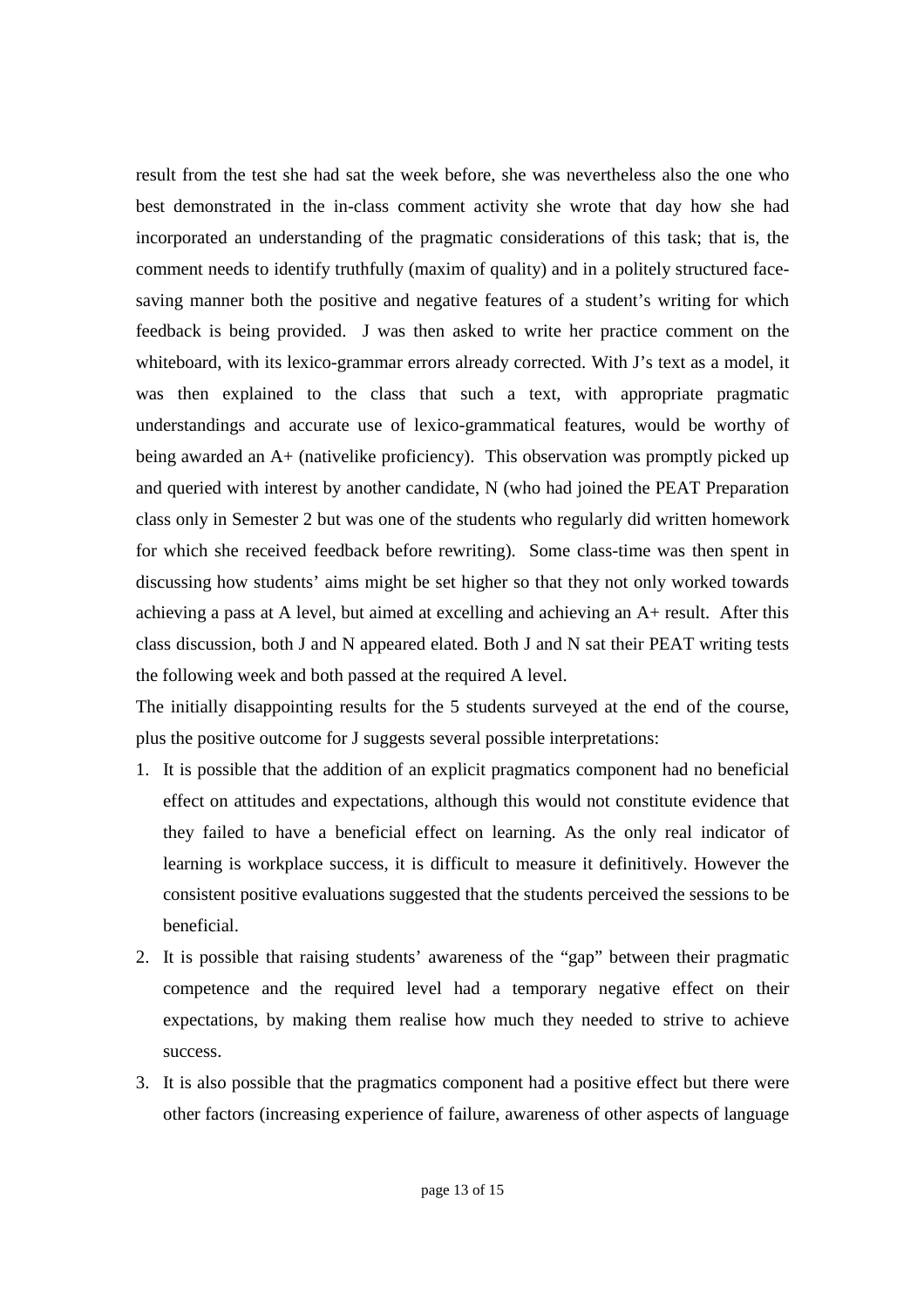result from the test she had sat the week before, she was nevertheless also the one who best demonstrated in the in-class comment activity she wrote that day how she had incorporated an understanding of the pragmatic considerations of this task; that is, the comment needs to identify truthfully (maxim of quality) and in a politely structured facesaving manner both the positive and negative features of a student's writing for which feedback is being provided. J was then asked to write her practice comment on the whiteboard, with its lexico-grammar errors already corrected. With J's text as a model, it was then explained to the class that such a text, with appropriate pragmatic understandings and accurate use of lexico-grammatical features, would be worthy of being awarded an A+ (nativelike proficiency). This observation was promptly picked up and queried with interest by another candidate, N (who had joined the PEAT Preparation class only in Semester 2 but was one of the students who regularly did written homework for which she received feedback before rewriting). Some class-time was then spent in discussing how students' aims might be set higher so that they not only worked towards achieving a pass at A level, but aimed at excelling and achieving an A+ result. After this class discussion, both J and N appeared elated. Both J and N sat their PEAT writing tests the following week and both passed at the required A level.

The initially disappointing results for the 5 students surveyed at the end of the course, plus the positive outcome for J suggests several possible interpretations:

- 1. It is possible that the addition of an explicit pragmatics component had no beneficial effect on attitudes and expectations, although this would not constitute evidence that they failed to have a beneficial effect on learning. As the only real indicator of learning is workplace success, it is difficult to measure it definitively. However the consistent positive evaluations suggested that the students perceived the sessions to be beneficial.
- 2. It is possible that raising students' awareness of the "gap" between their pragmatic competence and the required level had a temporary negative effect on their expectations, by making them realise how much they needed to strive to achieve success.
- 3. It is also possible that the pragmatics component had a positive effect but there were other factors (increasing experience of failure, awareness of other aspects of language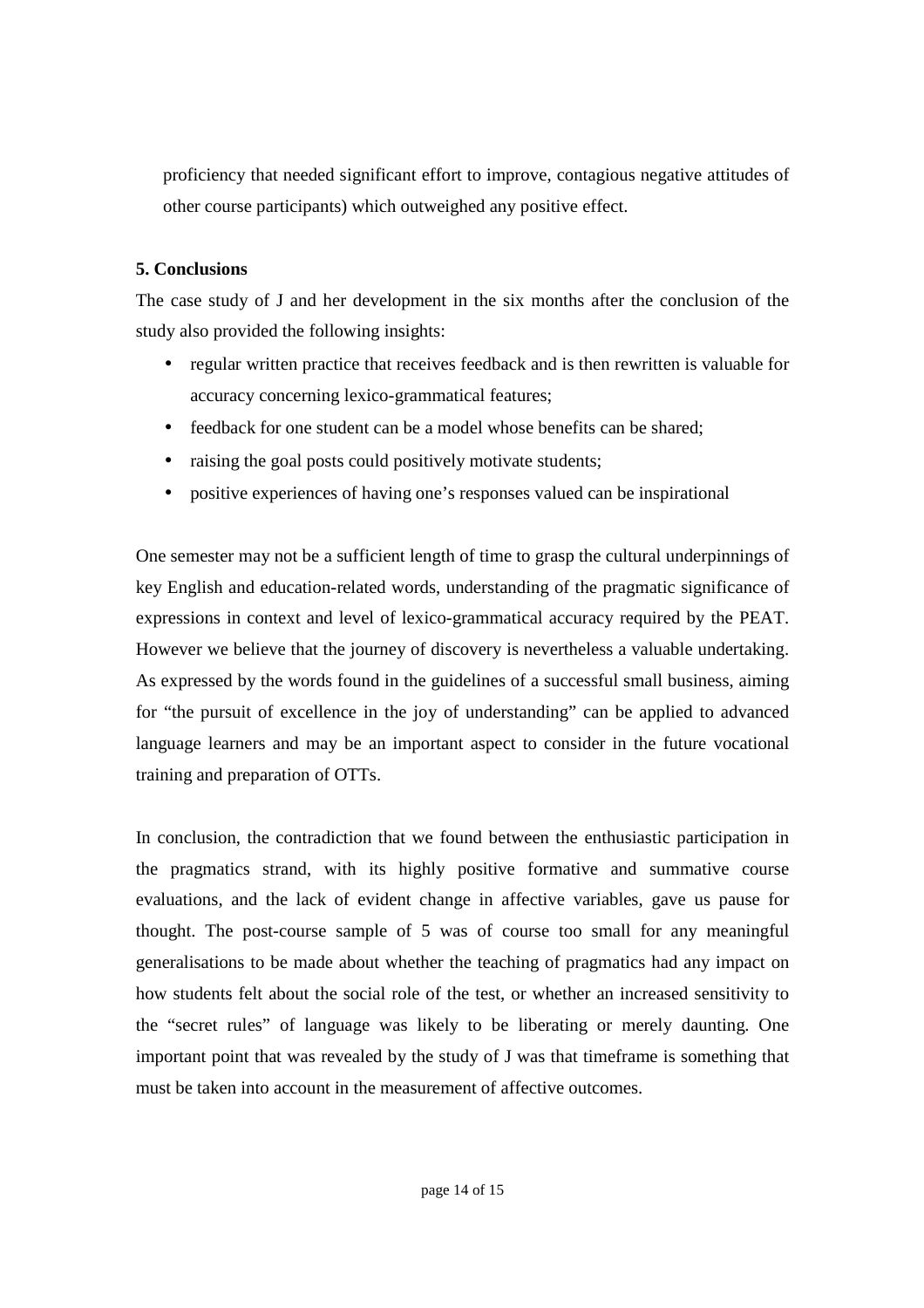proficiency that needed significant effort to improve, contagious negative attitudes of other course participants) which outweighed any positive effect.

## **5. Conclusions**

The case study of J and her development in the six months after the conclusion of the study also provided the following insights:

- regular written practice that receives feedback and is then rewritten is valuable for accuracy concerning lexico-grammatical features;
- feedback for one student can be a model whose benefits can be shared:
- raising the goal posts could positively motivate students;
- positive experiences of having one's responses valued can be inspirational

One semester may not be a sufficient length of time to grasp the cultural underpinnings of key English and education-related words, understanding of the pragmatic significance of expressions in context and level of lexico-grammatical accuracy required by the PEAT. However we believe that the journey of discovery is nevertheless a valuable undertaking. As expressed by the words found in the guidelines of a successful small business, aiming for "the pursuit of excellence in the joy of understanding" can be applied to advanced language learners and may be an important aspect to consider in the future vocational training and preparation of OTTs.

In conclusion, the contradiction that we found between the enthusiastic participation in the pragmatics strand, with its highly positive formative and summative course evaluations, and the lack of evident change in affective variables, gave us pause for thought. The post-course sample of 5 was of course too small for any meaningful generalisations to be made about whether the teaching of pragmatics had any impact on how students felt about the social role of the test, or whether an increased sensitivity to the "secret rules" of language was likely to be liberating or merely daunting. One important point that was revealed by the study of J was that timeframe is something that must be taken into account in the measurement of affective outcomes.